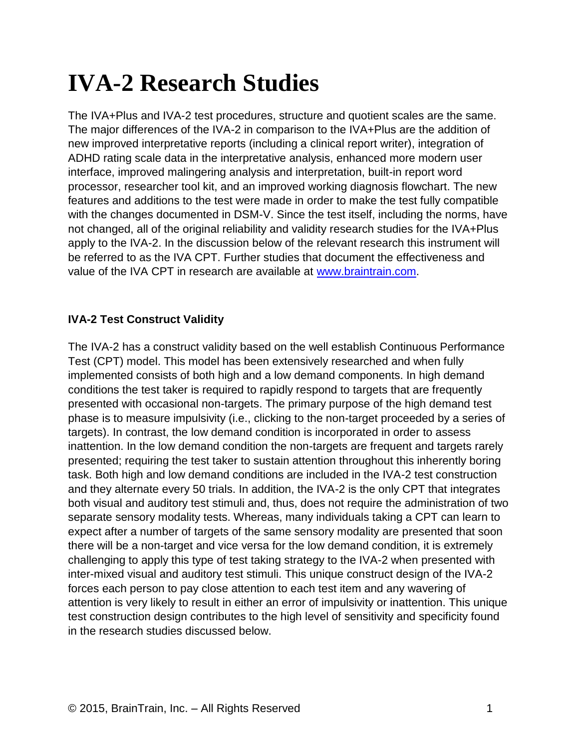# **IVA-2 Research Studies**

The IVA+Plus and IVA-2 test procedures, structure and quotient scales are the same. The major differences of the IVA-2 in comparison to the IVA+Plus are the addition of new improved interpretative reports (including a clinical report writer), integration of ADHD rating scale data in the interpretative analysis, enhanced more modern user interface, improved malingering analysis and interpretation, built-in report word processor, researcher tool kit, and an improved working diagnosis flowchart. The new features and additions to the test were made in order to make the test fully compatible with the changes documented in DSM-V. Since the test itself, including the norms, have not changed, all of the original reliability and validity research studies for the IVA+Plus apply to the IVA-2. In the discussion below of the relevant research this instrument will be referred to as the IVA CPT. Further studies that document the effectiveness and value of the IVA CPT in research are available at [www.braintrain.com.](http://www.braintrain.com/)

# **IVA-2 Test Construct Validity**

The IVA-2 has a construct validity based on the well establish Continuous Performance Test (CPT) model. This model has been extensively researched and when fully implemented consists of both high and a low demand components. In high demand conditions the test taker is required to rapidly respond to targets that are frequently presented with occasional non-targets. The primary purpose of the high demand test phase is to measure impulsivity (i.e., clicking to the non-target proceeded by a series of targets). In contrast, the low demand condition is incorporated in order to assess inattention. In the low demand condition the non-targets are frequent and targets rarely presented; requiring the test taker to sustain attention throughout this inherently boring task. Both high and low demand conditions are included in the IVA-2 test construction and they alternate every 50 trials. In addition, the IVA-2 is the only CPT that integrates both visual and auditory test stimuli and, thus, does not require the administration of two separate sensory modality tests. Whereas, many individuals taking a CPT can learn to expect after a number of targets of the same sensory modality are presented that soon there will be a non-target and vice versa for the low demand condition, it is extremely challenging to apply this type of test taking strategy to the IVA-2 when presented with inter-mixed visual and auditory test stimuli. This unique construct design of the IVA-2 forces each person to pay close attention to each test item and any wavering of attention is very likely to result in either an error of impulsivity or inattention. This unique test construction design contributes to the high level of sensitivity and specificity found in the research studies discussed below.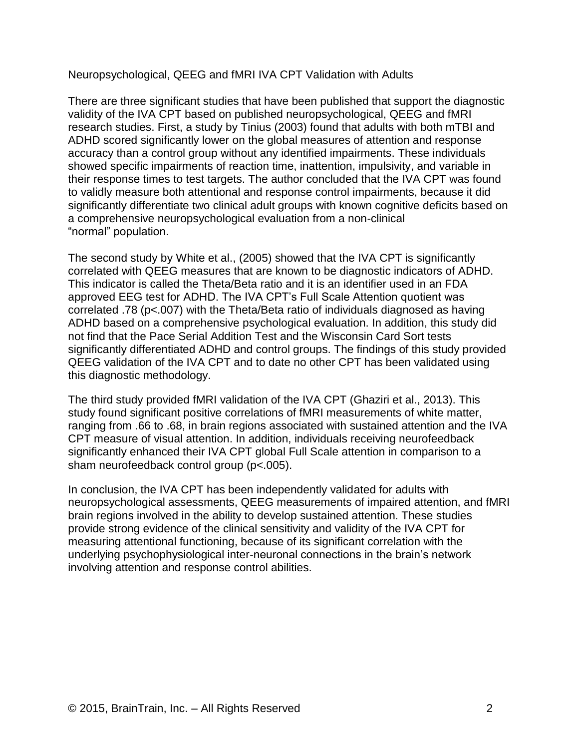#### Neuropsychological, QEEG and fMRI IVA CPT Validation with Adults

There are three significant studies that have been published that support the diagnostic validity of the IVA CPT based on published neuropsychological, QEEG and fMRI research studies. First, a study by Tinius (2003) found that adults with both mTBI and ADHD scored significantly lower on the global measures of attention and response accuracy than a control group without any identified impairments. These individuals showed specific impairments of reaction time, inattention, impulsivity, and variable in their response times to test targets. The author concluded that the IVA CPT was found to validly measure both attentional and response control impairments, because it did significantly differentiate two clinical adult groups with known cognitive deficits based on a comprehensive neuropsychological evaluation from a non-clinical "normal" population.

The second study by White et al., (2005) showed that the IVA CPT is significantly correlated with QEEG measures that are known to be diagnostic indicators of ADHD. This indicator is called the Theta/Beta ratio and it is an identifier used in an FDA approved EEG test for ADHD. The IVA CPT's Full Scale Attention quotient was correlated .78 (p<.007) with the Theta/Beta ratio of individuals diagnosed as having ADHD based on a comprehensive psychological evaluation. In addition, this study did not find that the Pace Serial Addition Test and the Wisconsin Card Sort tests significantly differentiated ADHD and control groups. The findings of this study provided QEEG validation of the IVA CPT and to date no other CPT has been validated using this diagnostic methodology.

The third study provided fMRI validation of the IVA CPT (Ghaziri et al., 2013). This study found significant positive correlations of fMRI measurements of white matter, ranging from .66 to .68, in brain regions associated with sustained attention and the IVA CPT measure of visual attention. In addition, individuals receiving neurofeedback significantly enhanced their IVA CPT global Full Scale attention in comparison to a sham neurofeedback control group (p<.005).

In conclusion, the IVA CPT has been independently validated for adults with neuropsychological assessments, QEEG measurements of impaired attention, and fMRI brain regions involved in the ability to develop sustained attention. These studies provide strong evidence of the clinical sensitivity and validity of the IVA CPT for measuring attentional functioning, because of its significant correlation with the underlying psychophysiological inter-neuronal connections in the brain's network involving attention and response control abilities.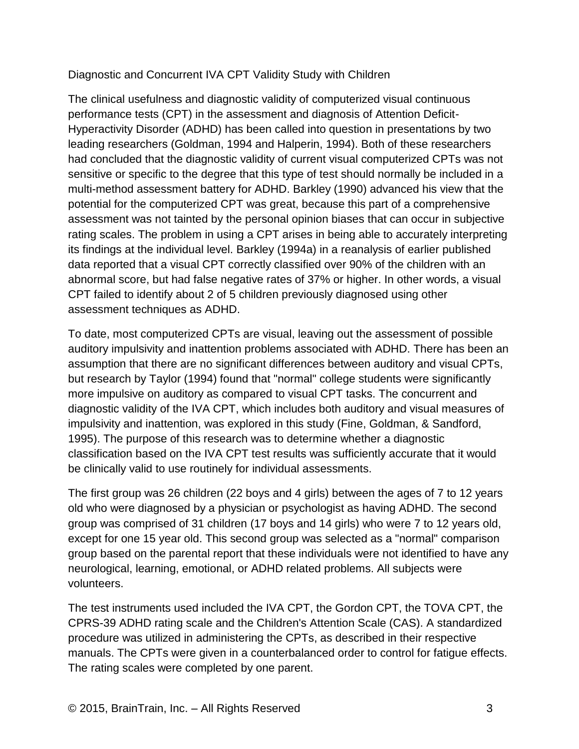# Diagnostic and Concurrent IVA CPT Validity Study with Children

The clinical usefulness and diagnostic validity of computerized visual continuous performance tests (CPT) in the assessment and diagnosis of Attention Deficit-Hyperactivity Disorder (ADHD) has been called into question in presentations by two leading researchers (Goldman, 1994 and Halperin, 1994). Both of these researchers had concluded that the diagnostic validity of current visual computerized CPTs was not sensitive or specific to the degree that this type of test should normally be included in a multi-method assessment battery for ADHD. Barkley (1990) advanced his view that the potential for the computerized CPT was great, because this part of a comprehensive assessment was not tainted by the personal opinion biases that can occur in subjective rating scales. The problem in using a CPT arises in being able to accurately interpreting its findings at the individual level. Barkley (1994a) in a reanalysis of earlier published data reported that a visual CPT correctly classified over 90% of the children with an abnormal score, but had false negative rates of 37% or higher. In other words, a visual CPT failed to identify about 2 of 5 children previously diagnosed using other assessment techniques as ADHD.

To date, most computerized CPTs are visual, leaving out the assessment of possible auditory impulsivity and inattention problems associated with ADHD. There has been an assumption that there are no significant differences between auditory and visual CPTs, but research by Taylor (1994) found that "normal" college students were significantly more impulsive on auditory as compared to visual CPT tasks. The concurrent and diagnostic validity of the IVA CPT, which includes both auditory and visual measures of impulsivity and inattention, was explored in this study (Fine, Goldman, & Sandford, 1995). The purpose of this research was to determine whether a diagnostic classification based on the IVA CPT test results was sufficiently accurate that it would be clinically valid to use routinely for individual assessments.

The first group was 26 children (22 boys and 4 girls) between the ages of 7 to 12 years old who were diagnosed by a physician or psychologist as having ADHD. The second group was comprised of 31 children (17 boys and 14 girls) who were 7 to 12 years old, except for one 15 year old. This second group was selected as a "normal" comparison group based on the parental report that these individuals were not identified to have any neurological, learning, emotional, or ADHD related problems. All subjects were volunteers.

The test instruments used included the IVA CPT, the Gordon CPT, the TOVA CPT, the CPRS-39 ADHD rating scale and the Children's Attention Scale (CAS). A standardized procedure was utilized in administering the CPTs, as described in their respective manuals. The CPTs were given in a counterbalanced order to control for fatigue effects. The rating scales were completed by one parent.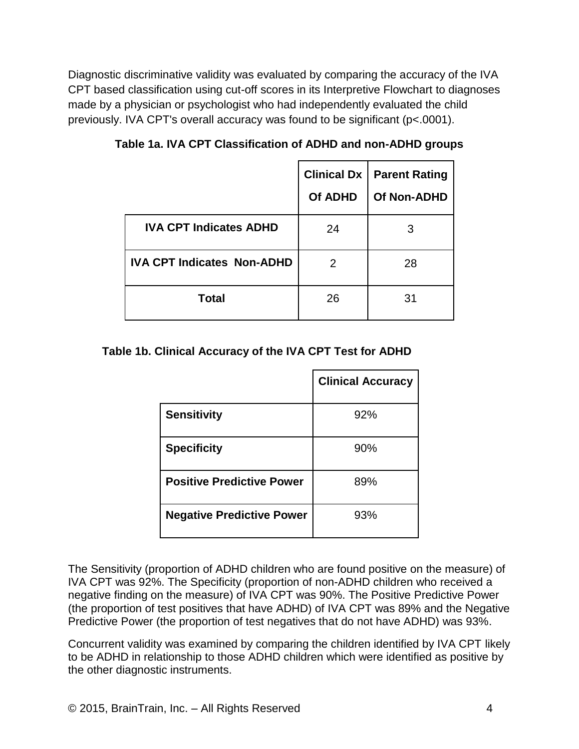Diagnostic discriminative validity was evaluated by comparing the accuracy of the IVA CPT based classification using cut-off scores in its Interpretive Flowchart to diagnoses made by a physician or psychologist who had independently evaluated the child previously. IVA CPT's overall accuracy was found to be significant (p<.0001).

|                                   | <b>Clinical Dx</b><br>Of ADHD | <b>Parent Rating</b><br>Of Non-ADHD |
|-----------------------------------|-------------------------------|-------------------------------------|
| <b>IVA CPT Indicates ADHD</b>     | 24                            | 3                                   |
| <b>IVA CPT Indicates Non-ADHD</b> | 2                             | 28                                  |
| <b>Total</b>                      | 26                            | 31                                  |

**Table 1a. IVA CPT Classification of ADHD and non-ADHD groups**

# **Table 1b. Clinical Accuracy of the IVA CPT Test for ADHD**

|                                  | <b>Clinical Accuracy</b> |
|----------------------------------|--------------------------|
| <b>Sensitivity</b>               | 92%                      |
| <b>Specificity</b>               | 90%                      |
| <b>Positive Predictive Power</b> | 89%                      |
| <b>Negative Predictive Power</b> | 93%                      |

The Sensitivity (proportion of ADHD children who are found positive on the measure) of IVA CPT was 92%. The Specificity (proportion of non-ADHD children who received a negative finding on the measure) of IVA CPT was 90%. The Positive Predictive Power (the proportion of test positives that have ADHD) of IVA CPT was 89% and the Negative Predictive Power (the proportion of test negatives that do not have ADHD) was 93%.

Concurrent validity was examined by comparing the children identified by IVA CPT likely to be ADHD in relationship to those ADHD children which were identified as positive by the other diagnostic instruments.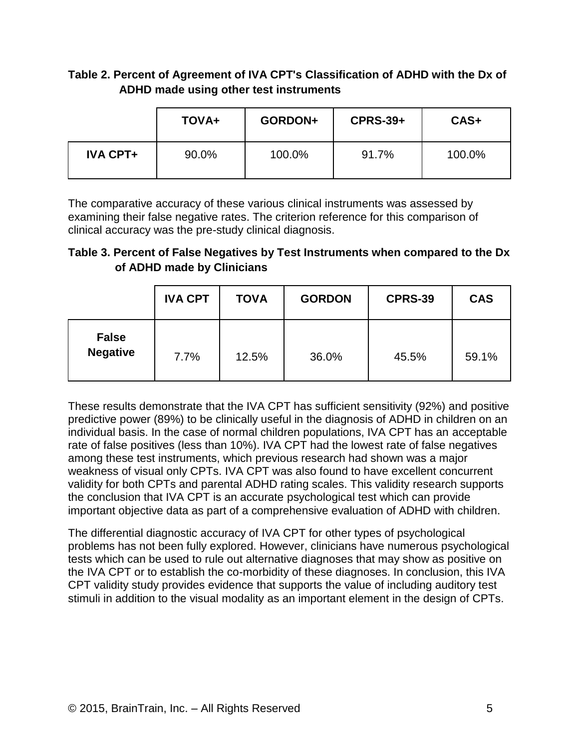# **Table 2. Percent of Agreement of IVA CPT's Classification of ADHD with the Dx of ADHD made using other test instruments**

|                 | <b>TOVA+</b> | GORDON+ | <b>CPRS-39+</b> | $CAS+$ |
|-----------------|--------------|---------|-----------------|--------|
| <b>IVA CPT+</b> | 90.0%        | 100.0%  | 91.7%           | 100.0% |

The comparative accuracy of these various clinical instruments was assessed by examining their false negative rates. The criterion reference for this comparison of clinical accuracy was the pre-study clinical diagnosis.

# **Table 3. Percent of False Negatives by Test Instruments when compared to the Dx of ADHD made by Clinicians**

|                                 | <b>IVA CPT</b> | <b>TOVA</b> | <b>GORDON</b> | <b>CPRS-39</b> | <b>CAS</b> |
|---------------------------------|----------------|-------------|---------------|----------------|------------|
| <b>False</b><br><b>Negative</b> | 7.7%           | 12.5%       | 36.0%         | 45.5%          | 59.1%      |

These results demonstrate that the IVA CPT has sufficient sensitivity (92%) and positive predictive power (89%) to be clinically useful in the diagnosis of ADHD in children on an individual basis. In the case of normal children populations, IVA CPT has an acceptable rate of false positives (less than 10%). IVA CPT had the lowest rate of false negatives among these test instruments, which previous research had shown was a major weakness of visual only CPTs. IVA CPT was also found to have excellent concurrent validity for both CPTs and parental ADHD rating scales. This validity research supports the conclusion that IVA CPT is an accurate psychological test which can provide important objective data as part of a comprehensive evaluation of ADHD with children.

The differential diagnostic accuracy of IVA CPT for other types of psychological problems has not been fully explored. However, clinicians have numerous psychological tests which can be used to rule out alternative diagnoses that may show as positive on the IVA CPT or to establish the co-morbidity of these diagnoses. In conclusion, this IVA CPT validity study provides evidence that supports the value of including auditory test stimuli in addition to the visual modality as an important element in the design of CPTs.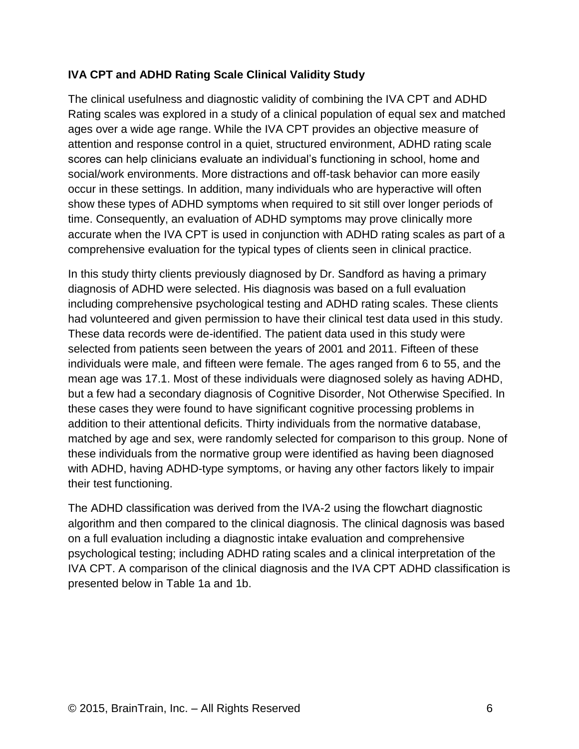# **IVA CPT and ADHD Rating Scale Clinical Validity Study**

The clinical usefulness and diagnostic validity of combining the IVA CPT and ADHD Rating scales was explored in a study of a clinical population of equal sex and matched ages over a wide age range. While the IVA CPT provides an objective measure of attention and response control in a quiet, structured environment, ADHD rating scale scores can help clinicians evaluate an individual's functioning in school, home and social/work environments. More distractions and off-task behavior can more easily occur in these settings. In addition, many individuals who are hyperactive will often show these types of ADHD symptoms when required to sit still over longer periods of time. Consequently, an evaluation of ADHD symptoms may prove clinically more accurate when the IVA CPT is used in conjunction with ADHD rating scales as part of a comprehensive evaluation for the typical types of clients seen in clinical practice.

In this study thirty clients previously diagnosed by Dr. Sandford as having a primary diagnosis of ADHD were selected. His diagnosis was based on a full evaluation including comprehensive psychological testing and ADHD rating scales. These clients had volunteered and given permission to have their clinical test data used in this study. These data records were de-identified. The patient data used in this study were selected from patients seen between the years of 2001 and 2011. Fifteen of these individuals were male, and fifteen were female. The ages ranged from 6 to 55, and the mean age was 17.1. Most of these individuals were diagnosed solely as having ADHD, but a few had a secondary diagnosis of Cognitive Disorder, Not Otherwise Specified. In these cases they were found to have significant cognitive processing problems in addition to their attentional deficits. Thirty individuals from the normative database, matched by age and sex, were randomly selected for comparison to this group. None of these individuals from the normative group were identified as having been diagnosed with ADHD, having ADHD-type symptoms, or having any other factors likely to impair their test functioning.

The ADHD classification was derived from the IVA-2 using the flowchart diagnostic algorithm and then compared to the clinical diagnosis. The clinical dagnosis was based on a full evaluation including a diagnostic intake evaluation and comprehensive psychological testing; including ADHD rating scales and a clinical interpretation of the IVA CPT. A comparison of the clinical diagnosis and the IVA CPT ADHD classification is presented below in Table 1a and 1b.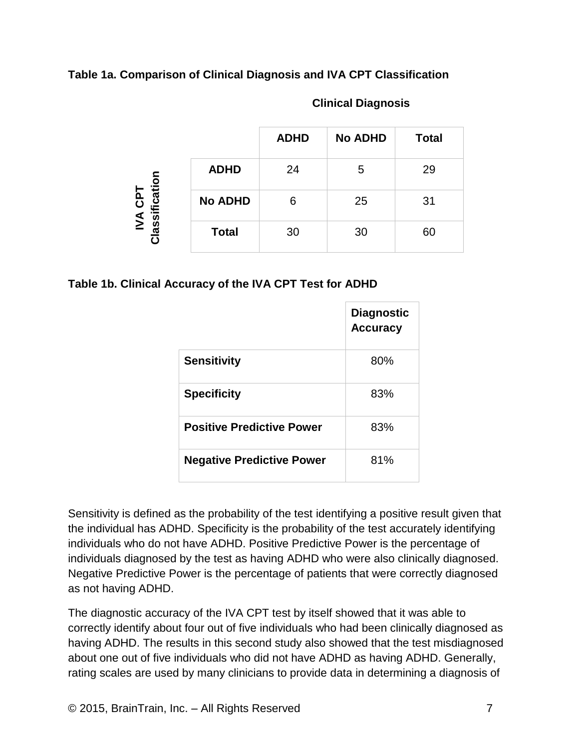# **Table 1a. Comparison of Clinical Diagnosis and IVA CPT Classification**

|                                                |                | <b>ADHD</b> | <b>No ADHD</b> | <b>Total</b> |
|------------------------------------------------|----------------|-------------|----------------|--------------|
| ation<br><b>Td2</b><br>sific<br>$\overline{M}$ | <b>ADHD</b>    | 24          | 5              | 29           |
|                                                | <b>No ADHD</b> | 6           | 25             | 31           |
| <u>las</u><br>ក                                | <b>Total</b>   | 30          | 30             | 60           |

#### **Clinical Diagnosis**

## **Table 1b. Clinical Accuracy of the IVA CPT Test for ADHD**

|                                  | <b>Diagnostic</b><br><b>Accuracy</b> |
|----------------------------------|--------------------------------------|
| <b>Sensitivity</b>               | 80%                                  |
| <b>Specificity</b>               | 83%                                  |
| <b>Positive Predictive Power</b> | 83%                                  |
| <b>Negative Predictive Power</b> | 81%                                  |

Sensitivity is defined as the probability of the test identifying a positive result given that the individual has ADHD. Specificity is the probability of the test accurately identifying individuals who do not have ADHD. Positive Predictive Power is the percentage of individuals diagnosed by the test as having ADHD who were also clinically diagnosed. Negative Predictive Power is the percentage of patients that were correctly diagnosed as not having ADHD.

The diagnostic accuracy of the IVA CPT test by itself showed that it was able to correctly identify about four out of five individuals who had been clinically diagnosed as having ADHD. The results in this second study also showed that the test misdiagnosed about one out of five individuals who did not have ADHD as having ADHD. Generally, rating scales are used by many clinicians to provide data in determining a diagnosis of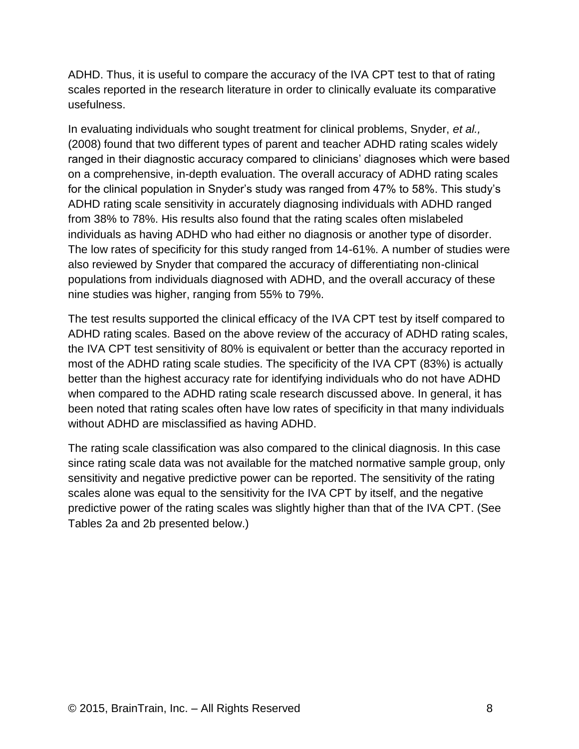ADHD. Thus, it is useful to compare the accuracy of the IVA CPT test to that of rating scales reported in the research literature in order to clinically evaluate its comparative usefulness.

In evaluating individuals who sought treatment for clinical problems, Snyder, *et al.,* (2008) found that two different types of parent and teacher ADHD rating scales widely ranged in their diagnostic accuracy compared to clinicians' diagnoses which were based on a comprehensive, in-depth evaluation. The overall accuracy of ADHD rating scales for the clinical population in Snyder's study was ranged from 47% to 58%. This study's ADHD rating scale sensitivity in accurately diagnosing individuals with ADHD ranged from 38% to 78%. His results also found that the rating scales often mislabeled individuals as having ADHD who had either no diagnosis or another type of disorder. The low rates of specificity for this study ranged from 14-61%. A number of studies were also reviewed by Snyder that compared the accuracy of differentiating non-clinical populations from individuals diagnosed with ADHD, and the overall accuracy of these nine studies was higher, ranging from 55% to 79%.

The test results supported the clinical efficacy of the IVA CPT test by itself compared to ADHD rating scales. Based on the above review of the accuracy of ADHD rating scales, the IVA CPT test sensitivity of 80% is equivalent or better than the accuracy reported in most of the ADHD rating scale studies. The specificity of the IVA CPT (83%) is actually better than the highest accuracy rate for identifying individuals who do not have ADHD when compared to the ADHD rating scale research discussed above. In general, it has been noted that rating scales often have low rates of specificity in that many individuals without ADHD are misclassified as having ADHD.

The rating scale classification was also compared to the clinical diagnosis. In this case since rating scale data was not available for the matched normative sample group, only sensitivity and negative predictive power can be reported. The sensitivity of the rating scales alone was equal to the sensitivity for the IVA CPT by itself, and the negative predictive power of the rating scales was slightly higher than that of the IVA CPT. (See Tables 2a and 2b presented below.)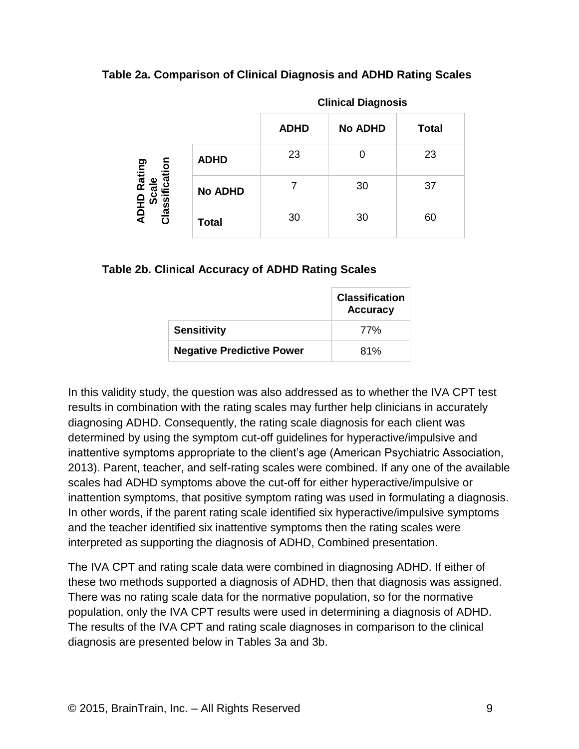#### **Table 2a. Comparison of Clinical Diagnosis and ADHD Rating Scales**

|                                    |                | <b>Clinical Diagnosis</b> |                |              |  |
|------------------------------------|----------------|---------------------------|----------------|--------------|--|
|                                    |                | <b>ADHD</b>               | <b>No ADHD</b> | <b>Total</b> |  |
|                                    | <b>ADHD</b>    | 23                        |                | 23           |  |
| sification<br>ADHD Rating<br>Scale | <b>No ADHD</b> |                           | 30             | 37           |  |
| $\frac{1}{2}$<br>$\mathbf C$       | <b>Total</b>   | 30                        | 30             | 60           |  |

#### **Table 2b. Clinical Accuracy of ADHD Rating Scales**

|                                  | <b>Classification</b><br><b>Accuracy</b> |
|----------------------------------|------------------------------------------|
| <b>Sensitivity</b>               | 77%                                      |
| <b>Negative Predictive Power</b> | 81%                                      |

In this validity study, the question was also addressed as to whether the IVA CPT test results in combination with the rating scales may further help clinicians in accurately diagnosing ADHD. Consequently, the rating scale diagnosis for each client was determined by using the symptom cut-off guidelines for hyperactive/impulsive and inattentive symptoms appropriate to the client's age (American Psychiatric Association, 2013). Parent, teacher, and self-rating scales were combined. If any one of the available scales had ADHD symptoms above the cut-off for either hyperactive/impulsive or inattention symptoms, that positive symptom rating was used in formulating a diagnosis. In other words, if the parent rating scale identified six hyperactive/impulsive symptoms and the teacher identified six inattentive symptoms then the rating scales were interpreted as supporting the diagnosis of ADHD, Combined presentation.

The IVA CPT and rating scale data were combined in diagnosing ADHD. If either of these two methods supported a diagnosis of ADHD, then that diagnosis was assigned. There was no rating scale data for the normative population, so for the normative population, only the IVA CPT results were used in determining a diagnosis of ADHD. The results of the IVA CPT and rating scale diagnoses in comparison to the clinical diagnosis are presented below in Tables 3a and 3b.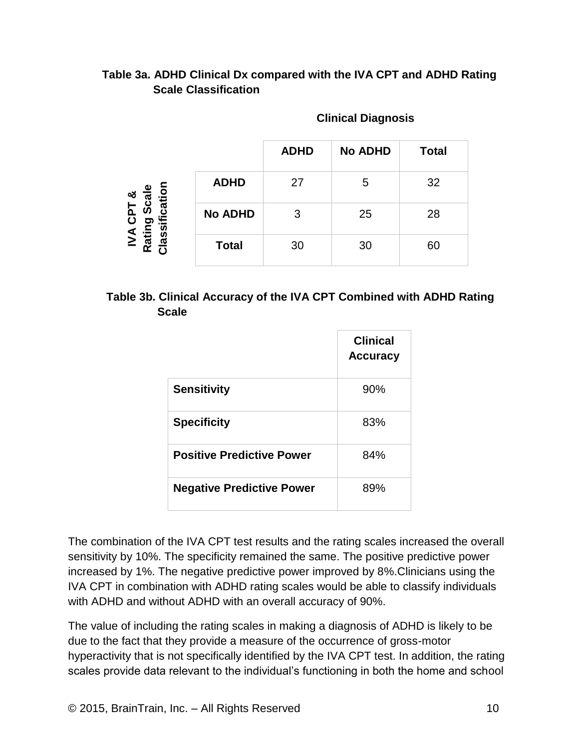# **Table 3a. ADHD Clinical Dx compared with the IVA CPT and ADHD Rating Scale Classification**

|                                                                            |                | <b>ADHD</b> | <b>No ADHD</b> | <b>Total</b> |
|----------------------------------------------------------------------------|----------------|-------------|----------------|--------------|
| ification<br>ω<br>$\bar{a}$<br>ජ<br>∟<br>൨<br>$\overline{\mathbf{o}}$<br>ත | <b>ADHD</b>    | 27          | 5              | 32           |
|                                                                            | <b>No ADHD</b> | 3           | 25             | 28           |
| $\overline{M}$<br>lassi<br>Ratii                                           | <b>Total</b>   | 30          | 30             | 60           |

#### **Clinical Diagnosis**

## **Table 3b. Clinical Accuracy of the IVA CPT Combined with ADHD Rating Scale**

|                                  | <b>Clinical</b><br><b>Accuracy</b> |
|----------------------------------|------------------------------------|
| <b>Sensitivity</b>               | 90%                                |
| <b>Specificity</b>               | 83%                                |
| <b>Positive Predictive Power</b> | 84%                                |
| <b>Negative Predictive Power</b> | 89%                                |

The combination of the IVA CPT test results and the rating scales increased the overall sensitivity by 10%. The specificity remained the same. The positive predictive power increased by 1%. The negative predictive power improved by 8%.Clinicians using the IVA CPT in combination with ADHD rating scales would be able to classify individuals with ADHD and without ADHD with an overall accuracy of 90%.

The value of including the rating scales in making a diagnosis of ADHD is likely to be due to the fact that they provide a measure of the occurrence of gross-motor hyperactivity that is not specifically identified by the IVA CPT test. In addition, the rating scales provide data relevant to the individual's functioning in both the home and school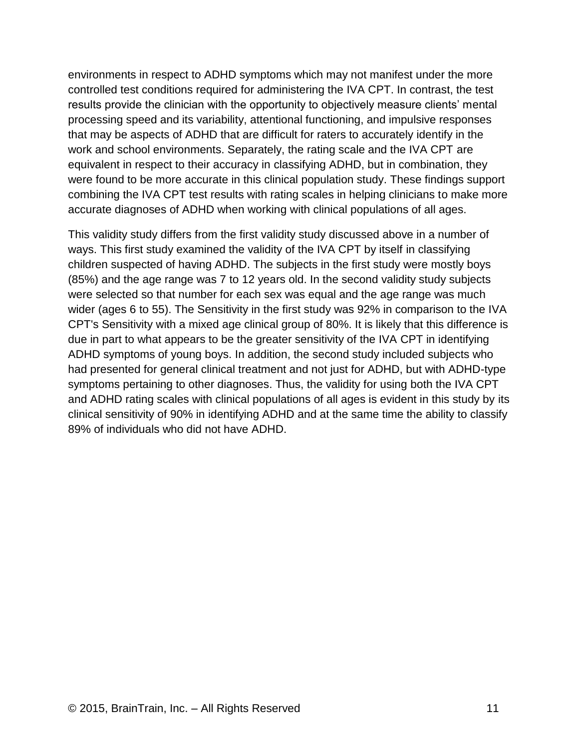environments in respect to ADHD symptoms which may not manifest under the more controlled test conditions required for administering the IVA CPT. In contrast, the test results provide the clinician with the opportunity to objectively measure clients' mental processing speed and its variability, attentional functioning, and impulsive responses that may be aspects of ADHD that are difficult for raters to accurately identify in the work and school environments. Separately, the rating scale and the IVA CPT are equivalent in respect to their accuracy in classifying ADHD, but in combination, they were found to be more accurate in this clinical population study. These findings support combining the IVA CPT test results with rating scales in helping clinicians to make more accurate diagnoses of ADHD when working with clinical populations of all ages.

This validity study differs from the first validity study discussed above in a number of ways. This first study examined the validity of the IVA CPT by itself in classifying children suspected of having ADHD. The subjects in the first study were mostly boys (85%) and the age range was 7 to 12 years old. In the second validity study subjects were selected so that number for each sex was equal and the age range was much wider (ages 6 to 55). The Sensitivity in the first study was 92% in comparison to the IVA CPT's Sensitivity with a mixed age clinical group of 80%. It is likely that this difference is due in part to what appears to be the greater sensitivity of the IVA CPT in identifying ADHD symptoms of young boys. In addition, the second study included subjects who had presented for general clinical treatment and not just for ADHD, but with ADHD-type symptoms pertaining to other diagnoses. Thus, the validity for using both the IVA CPT and ADHD rating scales with clinical populations of all ages is evident in this study by its clinical sensitivity of 90% in identifying ADHD and at the same time the ability to classify 89% of individuals who did not have ADHD.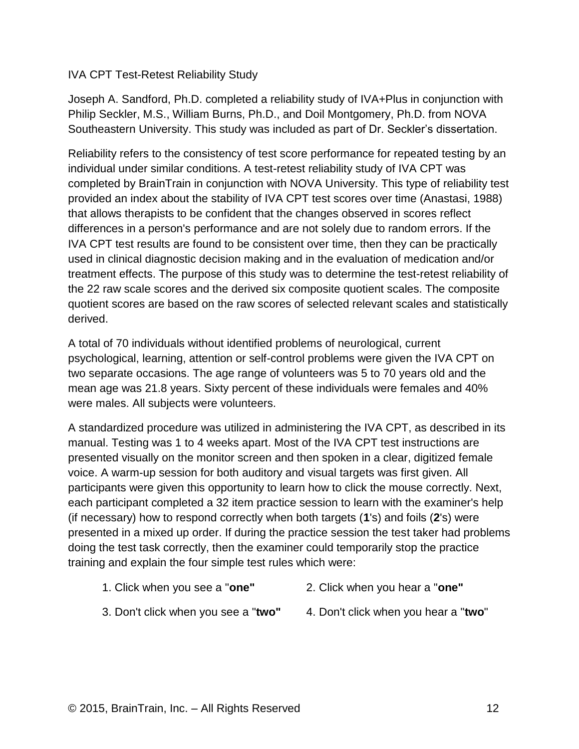#### IVA CPT Test-Retest Reliability Study

Joseph A. Sandford, Ph.D. completed a reliability study of IVA+Plus in conjunction with Philip Seckler, M.S., William Burns, Ph.D., and Doil Montgomery, Ph.D. from NOVA Southeastern University. This study was included as part of Dr. Seckler's dissertation.

Reliability refers to the consistency of test score performance for repeated testing by an individual under similar conditions. A test-retest reliability study of IVA CPT was completed by BrainTrain in conjunction with NOVA University. This type of reliability test provided an index about the stability of IVA CPT test scores over time (Anastasi, 1988) that allows therapists to be confident that the changes observed in scores reflect differences in a person's performance and are not solely due to random errors. If the IVA CPT test results are found to be consistent over time, then they can be practically used in clinical diagnostic decision making and in the evaluation of medication and/or treatment effects. The purpose of this study was to determine the test-retest reliability of the 22 raw scale scores and the derived six composite quotient scales. The composite quotient scores are based on the raw scores of selected relevant scales and statistically derived.

A total of 70 individuals without identified problems of neurological, current psychological, learning, attention or self-control problems were given the IVA CPT on two separate occasions. The age range of volunteers was 5 to 70 years old and the mean age was 21.8 years. Sixty percent of these individuals were females and 40% were males. All subjects were volunteers.

A standardized procedure was utilized in administering the IVA CPT, as described in its manual. Testing was 1 to 4 weeks apart. Most of the IVA CPT test instructions are presented visually on the monitor screen and then spoken in a clear, digitized female voice. A warm-up session for both auditory and visual targets was first given. All participants were given this opportunity to learn how to click the mouse correctly. Next, each participant completed a 32 item practice session to learn with the examiner's help (if necessary) how to respond correctly when both targets (**1**'s) and foils (**2**'s) were presented in a mixed up order. If during the practice session the test taker had problems doing the test task correctly, then the examiner could temporarily stop the practice training and explain the four simple test rules which were:

- 1. Click when you see a "**one"** 2. Click when you hear a "**one"**
	-
- 
- 3. Don't click when you see a "**two"** 4. Don't click when you hear a "**two**"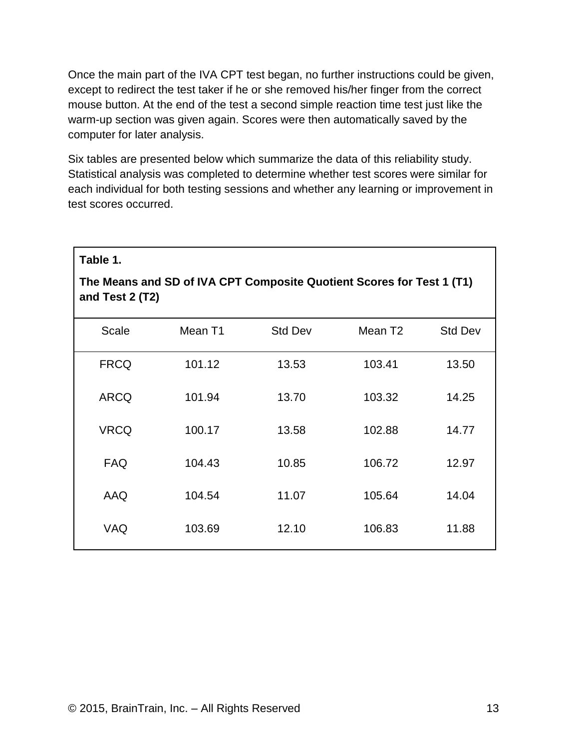Once the main part of the IVA CPT test began, no further instructions could be given, except to redirect the test taker if he or she removed his/her finger from the correct mouse button. At the end of the test a second simple reaction time test just like the warm-up section was given again. Scores were then automatically saved by the computer for later analysis.

Six tables are presented below which summarize the data of this reliability study. Statistical analysis was completed to determine whether test scores were similar for each individual for both testing sessions and whether any learning or improvement in test scores occurred.

| and Test 2 (T2) | The Means and SD of IVA CPT Composite Quotient Scores for Test 1 (T1) |                |                     |                |
|-----------------|-----------------------------------------------------------------------|----------------|---------------------|----------------|
| <b>Scale</b>    | Mean T1                                                               | <b>Std Dev</b> | Mean T <sub>2</sub> | <b>Std Dev</b> |
| <b>FRCQ</b>     | 101.12                                                                | 13.53          | 103.41              | 13.50          |
| <b>ARCQ</b>     | 101.94                                                                | 13.70          | 103.32              | 14.25          |
| <b>VRCQ</b>     | 100.17                                                                | 13.58          | 102.88              | 14.77          |
| <b>FAQ</b>      | 104.43                                                                | 10.85          | 106.72              | 12.97          |
| AAQ             | 104.54                                                                | 11.07          | 105.64              | 14.04          |
| VAQ             | 103.69                                                                | 12.10          | 106.83              | 11.88          |

**Table 1.**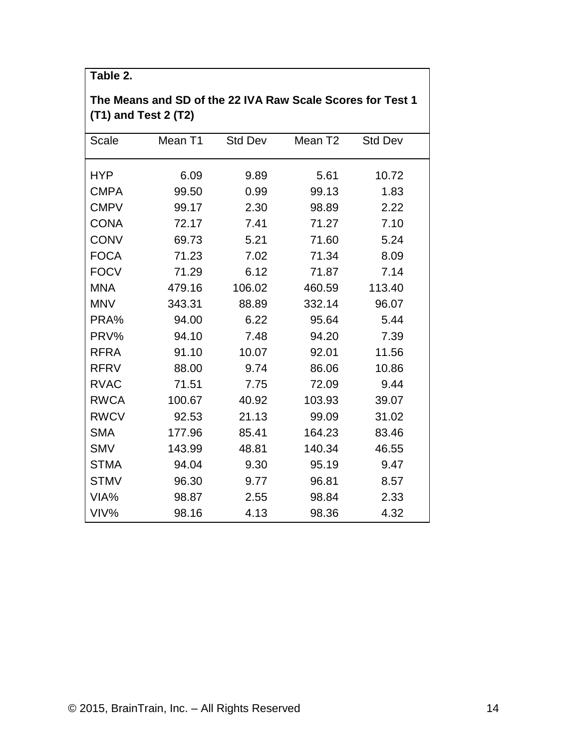| The Means and SD of the 22 IVA Raw Scale Scores for Test 1<br>(T1) and Test 2 (T2) |         |                |                     |                |
|------------------------------------------------------------------------------------|---------|----------------|---------------------|----------------|
| Scale                                                                              | Mean T1 | <b>Std Dev</b> | Mean T <sub>2</sub> | <b>Std Dev</b> |
| <b>HYP</b>                                                                         | 6.09    | 9.89           | 5.61                | 10.72          |
| <b>CMPA</b>                                                                        | 99.50   | 0.99           | 99.13               | 1.83           |
| <b>CMPV</b>                                                                        | 99.17   | 2.30           | 98.89               | 2.22           |
| <b>CONA</b>                                                                        | 72.17   | 7.41           | 71.27               | 7.10           |
| <b>CONV</b>                                                                        | 69.73   | 5.21           | 71.60               | 5.24           |
| <b>FOCA</b>                                                                        | 71.23   | 7.02           | 71.34               | 8.09           |
| <b>FOCV</b>                                                                        | 71.29   | 6.12           | 71.87               | 7.14           |
| <b>MNA</b>                                                                         | 479.16  | 106.02         | 460.59              | 113.40         |
| <b>MNV</b>                                                                         | 343.31  | 88.89          | 332.14              | 96.07          |
| PRA%                                                                               | 94.00   | 6.22           | 95.64               | 5.44           |
| PRV%                                                                               | 94.10   | 7.48           | 94.20               | 7.39           |
| <b>RFRA</b>                                                                        | 91.10   | 10.07          | 92.01               | 11.56          |
| <b>RFRV</b>                                                                        | 88.00   | 9.74           | 86.06               | 10.86          |
| <b>RVAC</b>                                                                        | 71.51   | 7.75           | 72.09               | 9.44           |
| <b>RWCA</b>                                                                        | 100.67  | 40.92          | 103.93              | 39.07          |
| <b>RWCV</b>                                                                        | 92.53   | 21.13          | 99.09               | 31.02          |
| <b>SMA</b>                                                                         | 177.96  | 85.41          | 164.23              | 83.46          |
| <b>SMV</b>                                                                         | 143.99  | 48.81          | 140.34              | 46.55          |
| <b>STMA</b>                                                                        | 94.04   | 9.30           | 95.19               | 9.47           |
| <b>STMV</b>                                                                        | 96.30   | 9.77           | 96.81               | 8.57           |
| VIA%                                                                               | 98.87   | 2.55           | 98.84               | 2.33           |
| VIV%                                                                               | 98.16   | 4.13           | 98.36               | 4.32           |

**Table 2.**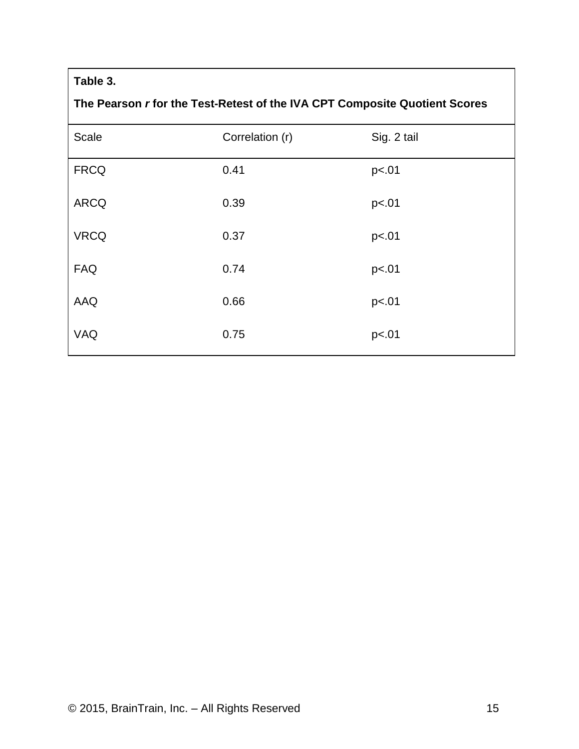# **Table 3.**

# **The Pearson** *r* **for the Test-Retest of the IVA CPT Composite Quotient Scores**

| Scale       | Correlation (r) | Sig. 2 tail |
|-------------|-----------------|-------------|
| <b>FRCQ</b> | 0.41            | p<.01       |
| <b>ARCQ</b> | 0.39            | p<.01       |
| <b>VRCQ</b> | 0.37            | p<.01       |
| <b>FAQ</b>  | 0.74            | p<.01       |
| AAQ         | 0.66            | p<.01       |
| VAQ         | 0.75            | p<.01       |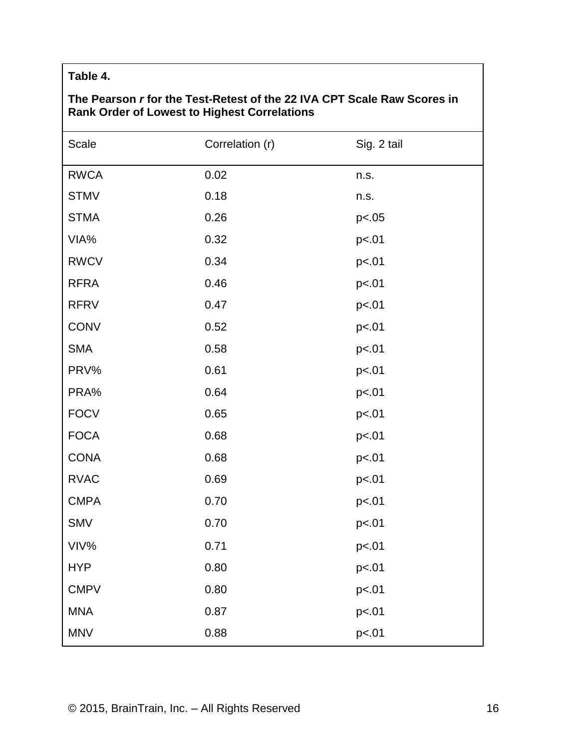# **Table 4.**

# **The Pearson** *r* **for the Test-Retest of the 22 IVA CPT Scale Raw Scores in Rank Order of Lowest to Highest Correlations**

| Scale       | Correlation (r) | Sig. 2 tail |
|-------------|-----------------|-------------|
| <b>RWCA</b> | 0.02            | n.s.        |
| <b>STMV</b> | 0.18            | n.s.        |
| <b>STMA</b> | 0.26            | p<.05       |
| VIA%        | 0.32            | p<.01       |
| <b>RWCV</b> | 0.34            | p<.01       |
| <b>RFRA</b> | 0.46            | p<.01       |
| <b>RFRV</b> | 0.47            | p<.01       |
| <b>CONV</b> | 0.52            | p<.01       |
| <b>SMA</b>  | 0.58            | p<.01       |
| PRV%        | 0.61            | p<.01       |
| PRA%        | 0.64            | p<.01       |
| <b>FOCV</b> | 0.65            | p<.01       |
| <b>FOCA</b> | 0.68            | p<.01       |
| <b>CONA</b> | 0.68            | p<.01       |
| <b>RVAC</b> | 0.69            | p<.01       |
| <b>CMPA</b> | 0.70            | p<.01       |
| <b>SMV</b>  | 0.70            | p<.01       |
| VIV%        | 0.71            | p<.01       |
| <b>HYP</b>  | 0.80            | p<.01       |
| <b>CMPV</b> | 0.80            | p<.01       |
| <b>MNA</b>  | 0.87            | p<.01       |
| <b>MNV</b>  | 0.88            | p<.01       |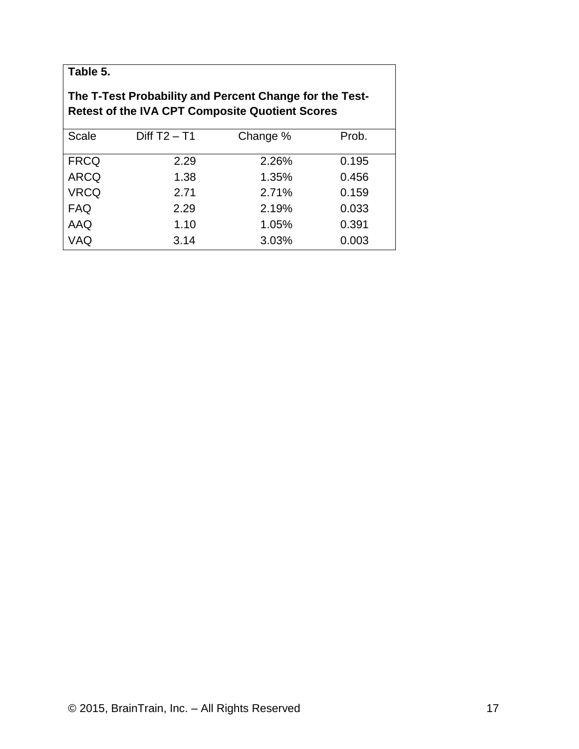| Table 5. |  |
|----------|--|
|----------|--|

# **The T-Test Probability and Percent Change for the Test-Retest of the IVA CPT Composite Quotient Scores**

| <b>Scale</b> | Diff $T2 - T1$ | Change % | Prob. |
|--------------|----------------|----------|-------|
|              |                |          |       |
| <b>FRCQ</b>  | 2.29           | 2.26%    | 0.195 |
| <b>ARCQ</b>  | 1.38           | 1.35%    | 0.456 |
| <b>VRCQ</b>  | 2.71           | 2.71%    | 0.159 |
| <b>FAQ</b>   | 2.29           | 2.19%    | 0.033 |
| AAQ          | 1.10           | 1.05%    | 0.391 |
| VAQ          | 3.14           | 3.03%    | 0.003 |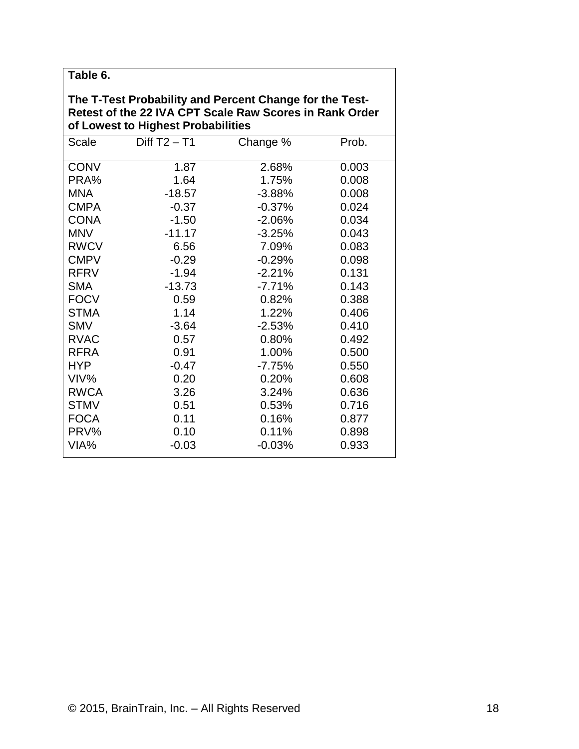| Table 6.                                                                                                                                                 |                |          |       |  |  |
|----------------------------------------------------------------------------------------------------------------------------------------------------------|----------------|----------|-------|--|--|
| The T-Test Probability and Percent Change for the Test-<br>Retest of the 22 IVA CPT Scale Raw Scores in Rank Order<br>of Lowest to Highest Probabilities |                |          |       |  |  |
| Scale                                                                                                                                                    | Diff $T2 - T1$ | Change % | Prob. |  |  |
| <b>CONV</b>                                                                                                                                              | 1.87           | 2.68%    | 0.003 |  |  |
| PRA%                                                                                                                                                     | 1.64           | 1.75%    | 0.008 |  |  |
| <b>MNA</b>                                                                                                                                               | $-18.57$       | $-3.88%$ | 0.008 |  |  |
| <b>CMPA</b>                                                                                                                                              | $-0.37$        | $-0.37%$ | 0.024 |  |  |
| <b>CONA</b>                                                                                                                                              | $-1.50$        | $-2.06%$ | 0.034 |  |  |
| <b>MNV</b>                                                                                                                                               | $-11.17$       | $-3.25%$ | 0.043 |  |  |
| <b>RWCV</b>                                                                                                                                              | 6.56           | 7.09%    | 0.083 |  |  |
| <b>CMPV</b>                                                                                                                                              | $-0.29$        | $-0.29%$ | 0.098 |  |  |
| <b>RFRV</b>                                                                                                                                              | $-1.94$        | $-2.21%$ | 0.131 |  |  |
| <b>SMA</b>                                                                                                                                               | $-13.73$       | $-7.71%$ | 0.143 |  |  |
| <b>FOCV</b>                                                                                                                                              | 0.59           | 0.82%    | 0.388 |  |  |
| <b>STMA</b>                                                                                                                                              | 1.14           | 1.22%    | 0.406 |  |  |
| <b>SMV</b>                                                                                                                                               | $-3.64$        | $-2.53%$ | 0.410 |  |  |
| <b>RVAC</b>                                                                                                                                              | 0.57           | 0.80%    | 0.492 |  |  |
| <b>RFRA</b>                                                                                                                                              | 0.91           | 1.00%    | 0.500 |  |  |
| <b>HYP</b>                                                                                                                                               | $-0.47$        | $-7.75%$ | 0.550 |  |  |
| VIV%                                                                                                                                                     | 0.20           | 0.20%    | 0.608 |  |  |
| <b>RWCA</b>                                                                                                                                              | 3.26           | 3.24%    | 0.636 |  |  |
| <b>STMV</b>                                                                                                                                              | 0.51           | 0.53%    | 0.716 |  |  |
| <b>FOCA</b>                                                                                                                                              | 0.11           | 0.16%    | 0.877 |  |  |
| PRV%                                                                                                                                                     | 0.10           | 0.11%    | 0.898 |  |  |
| VIA%                                                                                                                                                     | $-0.03$        | $-0.03%$ | 0.933 |  |  |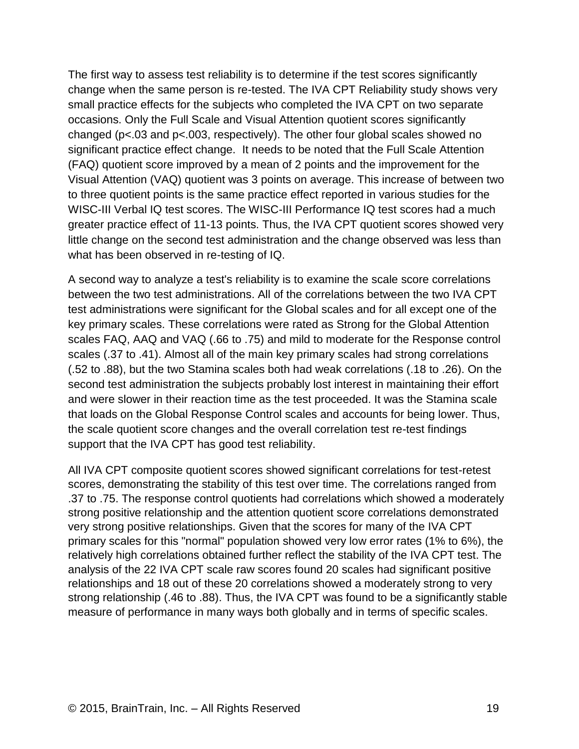The first way to assess test reliability is to determine if the test scores significantly change when the same person is re-tested. The IVA CPT Reliability study shows very small practice effects for the subjects who completed the IVA CPT on two separate occasions. Only the Full Scale and Visual Attention quotient scores significantly changed (p<.03 and p<.003, respectively). The other four global scales showed no significant practice effect change. It needs to be noted that the Full Scale Attention (FAQ) quotient score improved by a mean of 2 points and the improvement for the Visual Attention (VAQ) quotient was 3 points on average. This increase of between two to three quotient points is the same practice effect reported in various studies for the WISC-III Verbal IQ test scores. The WISC-III Performance IQ test scores had a much greater practice effect of 11-13 points. Thus, the IVA CPT quotient scores showed very little change on the second test administration and the change observed was less than what has been observed in re-testing of IQ.

A second way to analyze a test's reliability is to examine the scale score correlations between the two test administrations. All of the correlations between the two IVA CPT test administrations were significant for the Global scales and for all except one of the key primary scales. These correlations were rated as Strong for the Global Attention scales FAQ, AAQ and VAQ (.66 to .75) and mild to moderate for the Response control scales (.37 to .41). Almost all of the main key primary scales had strong correlations (.52 to .88), but the two Stamina scales both had weak correlations (.18 to .26). On the second test administration the subjects probably lost interest in maintaining their effort and were slower in their reaction time as the test proceeded. It was the Stamina scale that loads on the Global Response Control scales and accounts for being lower. Thus, the scale quotient score changes and the overall correlation test re-test findings support that the IVA CPT has good test reliability.

All IVA CPT composite quotient scores showed significant correlations for test-retest scores, demonstrating the stability of this test over time. The correlations ranged from .37 to .75. The response control quotients had correlations which showed a moderately strong positive relationship and the attention quotient score correlations demonstrated very strong positive relationships. Given that the scores for many of the IVA CPT primary scales for this "normal" population showed very low error rates (1% to 6%), the relatively high correlations obtained further reflect the stability of the IVA CPT test. The analysis of the 22 IVA CPT scale raw scores found 20 scales had significant positive relationships and 18 out of these 20 correlations showed a moderately strong to very strong relationship (.46 to .88). Thus, the IVA CPT was found to be a significantly stable measure of performance in many ways both globally and in terms of specific scales.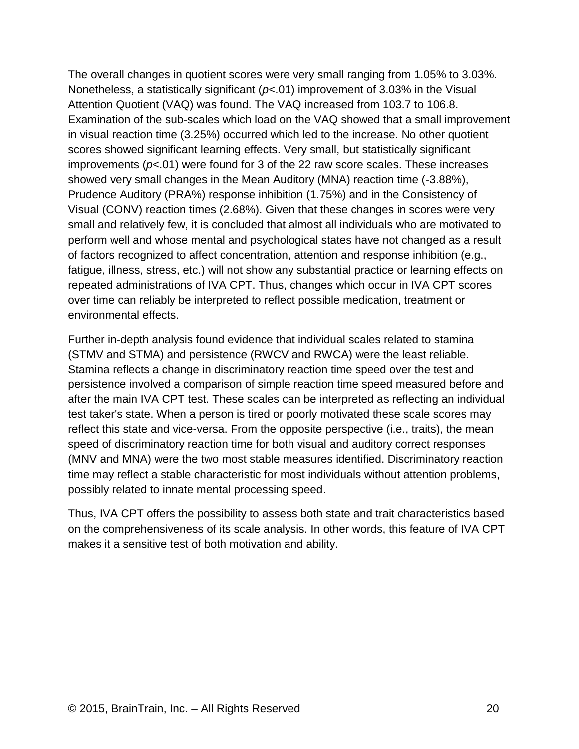The overall changes in quotient scores were very small ranging from 1.05% to 3.03%. Nonetheless, a statistically significant (*p*<.01) improvement of 3.03% in the Visual Attention Quotient (VAQ) was found. The VAQ increased from 103.7 to 106.8. Examination of the sub-scales which load on the VAQ showed that a small improvement in visual reaction time (3.25%) occurred which led to the increase. No other quotient scores showed significant learning effects. Very small, but statistically significant improvements (*p*<.01) were found for 3 of the 22 raw score scales. These increases showed very small changes in the Mean Auditory (MNA) reaction time (-3.88%), Prudence Auditory (PRA%) response inhibition (1.75%) and in the Consistency of Visual (CONV) reaction times (2.68%). Given that these changes in scores were very small and relatively few, it is concluded that almost all individuals who are motivated to perform well and whose mental and psychological states have not changed as a result of factors recognized to affect concentration, attention and response inhibition (e.g., fatigue, illness, stress, etc.) will not show any substantial practice or learning effects on repeated administrations of IVA CPT. Thus, changes which occur in IVA CPT scores over time can reliably be interpreted to reflect possible medication, treatment or environmental effects.

Further in-depth analysis found evidence that individual scales related to stamina (STMV and STMA) and persistence (RWCV and RWCA) were the least reliable. Stamina reflects a change in discriminatory reaction time speed over the test and persistence involved a comparison of simple reaction time speed measured before and after the main IVA CPT test. These scales can be interpreted as reflecting an individual test taker's state. When a person is tired or poorly motivated these scale scores may reflect this state and vice-versa. From the opposite perspective (i.e., traits), the mean speed of discriminatory reaction time for both visual and auditory correct responses (MNV and MNA) were the two most stable measures identified. Discriminatory reaction time may reflect a stable characteristic for most individuals without attention problems, possibly related to innate mental processing speed.

Thus, IVA CPT offers the possibility to assess both state and trait characteristics based on the comprehensiveness of its scale analysis. In other words, this feature of IVA CPT makes it a sensitive test of both motivation and ability.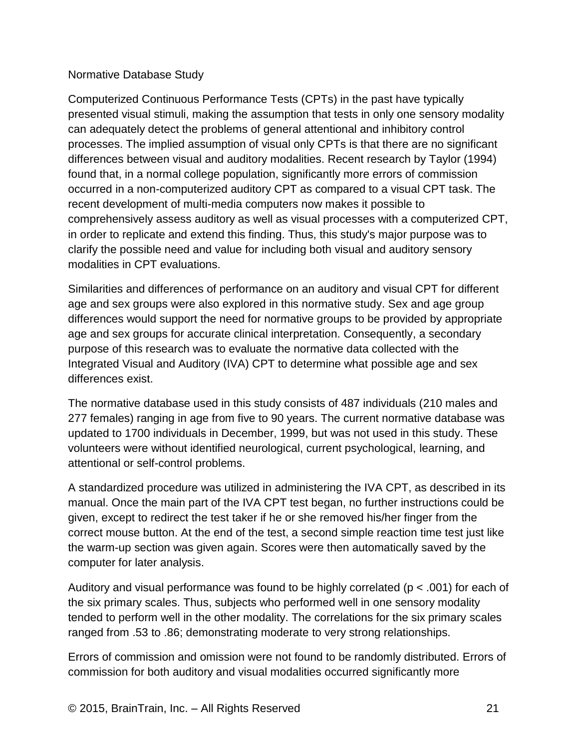#### Normative Database Study

Computerized Continuous Performance Tests (CPTs) in the past have typically presented visual stimuli, making the assumption that tests in only one sensory modality can adequately detect the problems of general attentional and inhibitory control processes. The implied assumption of visual only CPTs is that there are no significant differences between visual and auditory modalities. Recent research by Taylor (1994) found that, in a normal college population, significantly more errors of commission occurred in a non-computerized auditory CPT as compared to a visual CPT task. The recent development of multi-media computers now makes it possible to comprehensively assess auditory as well as visual processes with a computerized CPT, in order to replicate and extend this finding. Thus, this study's major purpose was to clarify the possible need and value for including both visual and auditory sensory modalities in CPT evaluations.

Similarities and differences of performance on an auditory and visual CPT for different age and sex groups were also explored in this normative study. Sex and age group differences would support the need for normative groups to be provided by appropriate age and sex groups for accurate clinical interpretation. Consequently, a secondary purpose of this research was to evaluate the normative data collected with the Integrated Visual and Auditory (IVA) CPT to determine what possible age and sex differences exist.

The normative database used in this study consists of 487 individuals (210 males and 277 females) ranging in age from five to 90 years. The current normative database was updated to 1700 individuals in December, 1999, but was not used in this study. These volunteers were without identified neurological, current psychological, learning, and attentional or self-control problems.

A standardized procedure was utilized in administering the IVA CPT, as described in its manual. Once the main part of the IVA CPT test began, no further instructions could be given, except to redirect the test taker if he or she removed his/her finger from the correct mouse button. At the end of the test, a second simple reaction time test just like the warm-up section was given again. Scores were then automatically saved by the computer for later analysis.

Auditory and visual performance was found to be highly correlated (p < .001) for each of the six primary scales. Thus, subjects who performed well in one sensory modality tended to perform well in the other modality. The correlations for the six primary scales ranged from .53 to .86; demonstrating moderate to very strong relationships.

Errors of commission and omission were not found to be randomly distributed. Errors of commission for both auditory and visual modalities occurred significantly more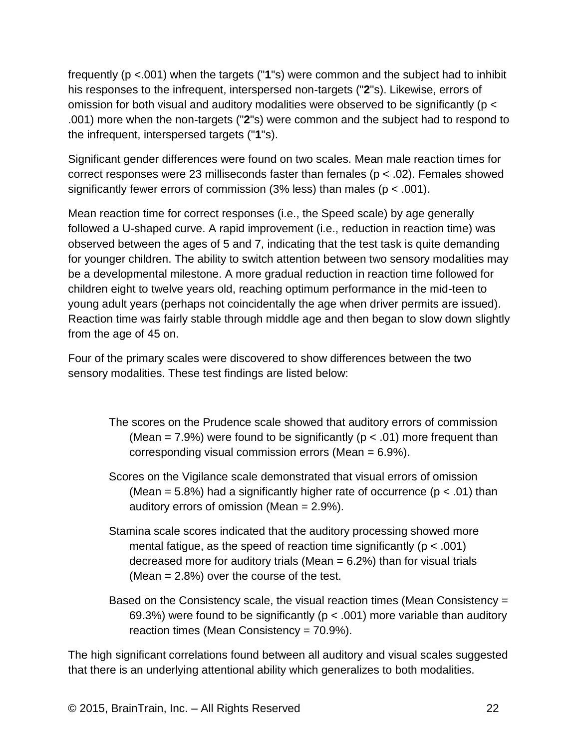frequently (p <.001) when the targets ("**1**"s) were common and the subject had to inhibit his responses to the infrequent, interspersed non-targets ("**2**"s). Likewise, errors of omission for both visual and auditory modalities were observed to be significantly (p < .001) more when the non-targets ("**2**"s) were common and the subject had to respond to the infrequent, interspersed targets ("**1**"s).

Significant gender differences were found on two scales. Mean male reaction times for correct responses were 23 milliseconds faster than females ( $p < .02$ ). Females showed significantly fewer errors of commission (3% less) than males ( $p < .001$ ).

Mean reaction time for correct responses (i.e., the Speed scale) by age generally followed a U-shaped curve. A rapid improvement (i.e., reduction in reaction time) was observed between the ages of 5 and 7, indicating that the test task is quite demanding for younger children. The ability to switch attention between two sensory modalities may be a developmental milestone. A more gradual reduction in reaction time followed for children eight to twelve years old, reaching optimum performance in the mid-teen to young adult years (perhaps not coincidentally the age when driver permits are issued). Reaction time was fairly stable through middle age and then began to slow down slightly from the age of 45 on.

Four of the primary scales were discovered to show differences between the two sensory modalities. These test findings are listed below:

- The scores on the Prudence scale showed that auditory errors of commission (Mean = 7.9%) were found to be significantly ( $p < .01$ ) more frequent than corresponding visual commission errors (Mean = 6.9%).
- Scores on the Vigilance scale demonstrated that visual errors of omission (Mean =  $5.8\%$ ) had a significantly higher rate of occurrence ( $p < .01$ ) than auditory errors of omission (Mean = 2.9%).
- Stamina scale scores indicated that the auditory processing showed more mental fatigue, as the speed of reaction time significantly ( $p < .001$ ) decreased more for auditory trials (Mean  $= 6.2\%$ ) than for visual trials (Mean = 2.8%) over the course of the test.
- Based on the Consistency scale, the visual reaction times (Mean Consistency = 69.3%) were found to be significantly ( $p < .001$ ) more variable than auditory reaction times (Mean Consistency = 70.9%).

The high significant correlations found between all auditory and visual scales suggested that there is an underlying attentional ability which generalizes to both modalities.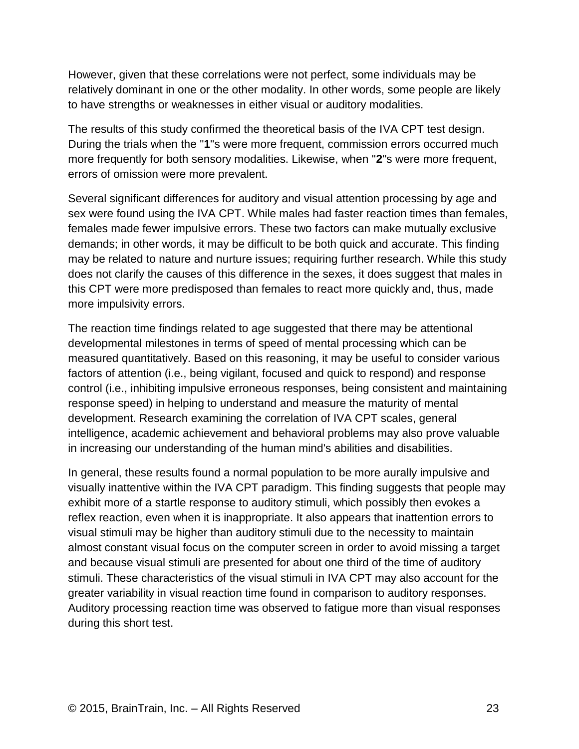However, given that these correlations were not perfect, some individuals may be relatively dominant in one or the other modality. In other words, some people are likely to have strengths or weaknesses in either visual or auditory modalities.

The results of this study confirmed the theoretical basis of the IVA CPT test design. During the trials when the "**1**"s were more frequent, commission errors occurred much more frequently for both sensory modalities. Likewise, when "**2**"s were more frequent, errors of omission were more prevalent.

Several significant differences for auditory and visual attention processing by age and sex were found using the IVA CPT. While males had faster reaction times than females, females made fewer impulsive errors. These two factors can make mutually exclusive demands; in other words, it may be difficult to be both quick and accurate. This finding may be related to nature and nurture issues; requiring further research. While this study does not clarify the causes of this difference in the sexes, it does suggest that males in this CPT were more predisposed than females to react more quickly and, thus, made more impulsivity errors.

The reaction time findings related to age suggested that there may be attentional developmental milestones in terms of speed of mental processing which can be measured quantitatively. Based on this reasoning, it may be useful to consider various factors of attention (i.e., being vigilant, focused and quick to respond) and response control (i.e., inhibiting impulsive erroneous responses, being consistent and maintaining response speed) in helping to understand and measure the maturity of mental development. Research examining the correlation of IVA CPT scales, general intelligence, academic achievement and behavioral problems may also prove valuable in increasing our understanding of the human mind's abilities and disabilities.

In general, these results found a normal population to be more aurally impulsive and visually inattentive within the IVA CPT paradigm. This finding suggests that people may exhibit more of a startle response to auditory stimuli, which possibly then evokes a reflex reaction, even when it is inappropriate. It also appears that inattention errors to visual stimuli may be higher than auditory stimuli due to the necessity to maintain almost constant visual focus on the computer screen in order to avoid missing a target and because visual stimuli are presented for about one third of the time of auditory stimuli. These characteristics of the visual stimuli in IVA CPT may also account for the greater variability in visual reaction time found in comparison to auditory responses. Auditory processing reaction time was observed to fatigue more than visual responses during this short test.